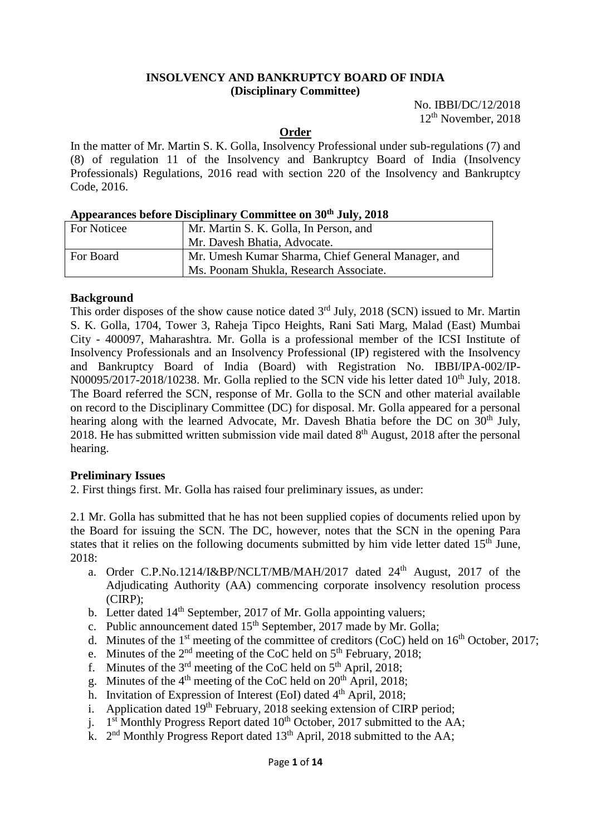#### **INSOLVENCY AND BANKRUPTCY BOARD OF INDIA (Disciplinary Committee)**

No. IBBI/DC/12/2018 12th November, 2018

#### **Order**

In the matter of Mr. Martin S. K. Golla, Insolvency Professional under sub-regulations (7) and (8) of regulation 11 of the Insolvency and Bankruptcy Board of India (Insolvency Professionals) Regulations, 2016 read with section 220 of the Insolvency and Bankruptcy Code, 2016.

## **Appearances before Disciplinary Committee on 30th July, 2018**

| For Noticee | Mr. Martin S. K. Golla, In Person, and             |
|-------------|----------------------------------------------------|
|             | Mr. Davesh Bhatia, Advocate.                       |
| For Board   | Mr. Umesh Kumar Sharma, Chief General Manager, and |
|             | Ms. Poonam Shukla, Research Associate.             |

### **Background**

This order disposes of the show cause notice dated  $3<sup>rd</sup>$  July, 2018 (SCN) issued to Mr. Martin S. K. Golla, 1704, Tower 3, Raheja Tipco Heights, Rani Sati Marg, Malad (East) Mumbai City - 400097, Maharashtra. Mr. Golla is a professional member of the ICSI Institute of Insolvency Professionals and an Insolvency Professional (IP) registered with the Insolvency and Bankruptcy Board of India (Board) with Registration No. IBBI/IPA-002/IP-N00095/2017-2018/10238. Mr. Golla replied to the SCN vide his letter dated 10<sup>th</sup> July, 2018. The Board referred the SCN, response of Mr. Golla to the SCN and other material available on record to the Disciplinary Committee (DC) for disposal. Mr. Golla appeared for a personal hearing along with the learned Advocate, Mr. Davesh Bhatia before the DC on 30<sup>th</sup> July, 2018. He has submitted written submission vide mail dated  $8<sup>th</sup>$  August, 2018 after the personal hearing.

#### **Preliminary Issues**

2. First things first. Mr. Golla has raised four preliminary issues, as under:

2.1 Mr. Golla has submitted that he has not been supplied copies of documents relied upon by the Board for issuing the SCN. The DC, however, notes that the SCN in the opening Para states that it relies on the following documents submitted by him vide letter dated  $15<sup>th</sup>$  June, 2018:

- a. Order C.P.No.1214/I&BP/NCLT/MB/MAH/2017 dated 24<sup>th</sup> August, 2017 of the Adjudicating Authority (AA) commencing corporate insolvency resolution process (CIRP);
- b. Letter dated 14<sup>th</sup> September, 2017 of Mr. Golla appointing valuers;
- c. Public announcement dated  $15<sup>th</sup>$  September, 2017 made by Mr. Golla;
- d. Minutes of the 1<sup>st</sup> meeting of the committee of creditors (CoC) held on 16<sup>th</sup> October, 2017;
- e. Minutes of the  $2<sup>nd</sup>$  meeting of the CoC held on  $5<sup>th</sup>$  February, 2018;
- f. Minutes of the  $3<sup>rd</sup>$  meeting of the CoC held on  $5<sup>th</sup>$  April, 2018;
- g. Minutes of the  $4<sup>th</sup>$  meeting of the CoC held on  $20<sup>th</sup>$  April, 2018;
- h. Invitation of Expression of Interest (EoI) dated 4<sup>th</sup> April, 2018;
- i. Application dated  $19<sup>th</sup>$  February, 2018 seeking extension of CIRP period;
- j.  $1<sup>st</sup>$  Monthly Progress Report dated  $10<sup>th</sup>$  October, 2017 submitted to the AA;
- k.  $2<sup>nd</sup>$  Monthly Progress Report dated 13<sup>th</sup> April, 2018 submitted to the AA;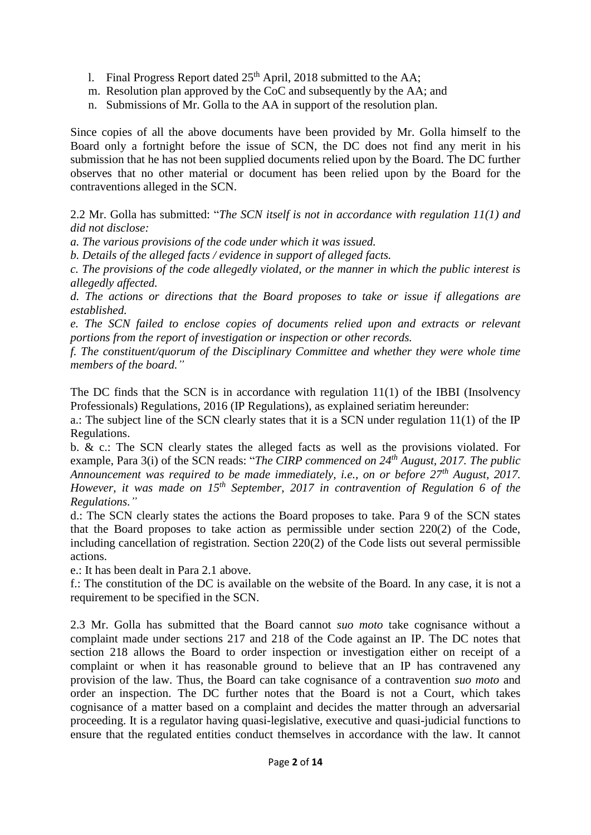- l. Final Progress Report dated  $25<sup>th</sup>$  April, 2018 submitted to the AA;
- m. Resolution plan approved by the CoC and subsequently by the AA; and
- n. Submissions of Mr. Golla to the AA in support of the resolution plan.

Since copies of all the above documents have been provided by Mr. Golla himself to the Board only a fortnight before the issue of SCN, the DC does not find any merit in his submission that he has not been supplied documents relied upon by the Board. The DC further observes that no other material or document has been relied upon by the Board for the contraventions alleged in the SCN.

2.2 Mr. Golla has submitted: "*The SCN itself is not in accordance with regulation 11(1) and did not disclose:*

*a. The various provisions of the code under which it was issued.*

*b. Details of the alleged facts / evidence in support of alleged facts.*

*c. The provisions of the code allegedly violated, or the manner in which the public interest is allegedly affected.*

*d. The actions or directions that the Board proposes to take or issue if allegations are established.*

*e. The SCN failed to enclose copies of documents relied upon and extracts or relevant portions from the report of investigation or inspection or other records.*

*f. The constituent/quorum of the Disciplinary Committee and whether they were whole time members of the board."*

The DC finds that the SCN is in accordance with regulation 11(1) of the IBBI (Insolvency Professionals) Regulations, 2016 (IP Regulations), as explained seriatim hereunder:

a.: The subject line of the SCN clearly states that it is a SCN under regulation 11(1) of the IP Regulations.

b. & c.: The SCN clearly states the alleged facts as well as the provisions violated. For example, Para 3(i) of the SCN reads: "*The CIRP commenced on 24th August, 2017. The public Announcement was required to be made immediately, i.e., on or before 27th August, 2017. However, it was made on 15th September, 2017 in contravention of Regulation 6 of the Regulations."*

d.: The SCN clearly states the actions the Board proposes to take. Para 9 of the SCN states that the Board proposes to take action as permissible under section 220(2) of the Code, including cancellation of registration. Section 220(2) of the Code lists out several permissible actions.

e.: It has been dealt in Para 2.1 above.

f.: The constitution of the DC is available on the website of the Board. In any case, it is not a requirement to be specified in the SCN.

2.3 Mr. Golla has submitted that the Board cannot *suo moto* take cognisance without a complaint made under sections 217 and 218 of the Code against an IP. The DC notes that section 218 allows the Board to order inspection or investigation either on receipt of a complaint or when it has reasonable ground to believe that an IP has contravened any provision of the law. Thus, the Board can take cognisance of a contravention *suo moto* and order an inspection. The DC further notes that the Board is not a Court, which takes cognisance of a matter based on a complaint and decides the matter through an adversarial proceeding. It is a regulator having quasi-legislative, executive and quasi-judicial functions to ensure that the regulated entities conduct themselves in accordance with the law. It cannot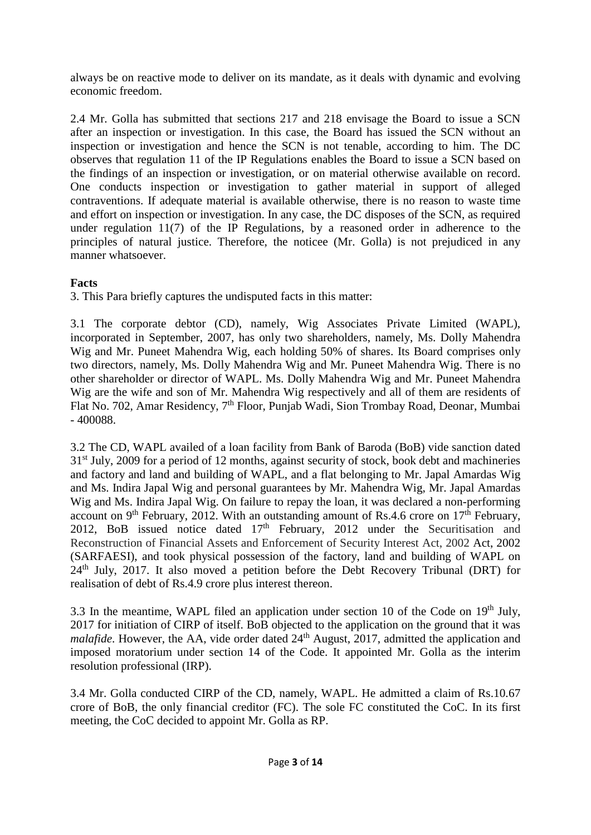always be on reactive mode to deliver on its mandate, as it deals with dynamic and evolving economic freedom.

2.4 Mr. Golla has submitted that sections 217 and 218 envisage the Board to issue a SCN after an inspection or investigation. In this case, the Board has issued the SCN without an inspection or investigation and hence the SCN is not tenable, according to him. The DC observes that regulation 11 of the IP Regulations enables the Board to issue a SCN based on the findings of an inspection or investigation, or on material otherwise available on record. One conducts inspection or investigation to gather material in support of alleged contraventions. If adequate material is available otherwise, there is no reason to waste time and effort on inspection or investigation. In any case, the DC disposes of the SCN, as required under regulation 11(7) of the IP Regulations, by a reasoned order in adherence to the principles of natural justice. Therefore, the noticee (Mr. Golla) is not prejudiced in any manner whatsoever.

## **Facts**

3. This Para briefly captures the undisputed facts in this matter:

3.1 The corporate debtor (CD), namely, Wig Associates Private Limited (WAPL), incorporated in September, 2007, has only two shareholders, namely, Ms. Dolly Mahendra Wig and Mr. Puneet Mahendra Wig, each holding 50% of shares. Its Board comprises only two directors, namely, Ms. Dolly Mahendra Wig and Mr. Puneet Mahendra Wig. There is no other shareholder or director of WAPL. Ms. Dolly Mahendra Wig and Mr. Puneet Mahendra Wig are the wife and son of Mr. Mahendra Wig respectively and all of them are residents of Flat No. 702, Amar Residency, 7<sup>th</sup> Floor, Punjab Wadi, Sion Trombay Road, Deonar, Mumbai - 400088.

3.2 The CD, WAPL availed of a loan facility from Bank of Baroda (BoB) vide sanction dated 31<sup>st</sup> July, 2009 for a period of 12 months, against security of stock, book debt and machineries and factory and land and building of WAPL, and a flat belonging to Mr. Japal Amardas Wig and Ms. Indira Japal Wig and personal guarantees by Mr. Mahendra Wig, Mr. Japal Amardas Wig and Ms. Indira Japal Wig. On failure to repay the loan, it was declared a non-performing account on 9<sup>th</sup> February, 2012. With an outstanding amount of Rs.4.6 crore on  $17<sup>th</sup>$  February, 2012, BoB issued notice dated  $17<sup>th</sup>$  February, 2012 under the Securitisation and Reconstruction of Financial Assets and Enforcement of Security Interest Act, 2002 Act, 2002 (SARFAESI), and took physical possession of the factory, land and building of WAPL on 24th July, 2017. It also moved a petition before the Debt Recovery Tribunal (DRT) for realisation of debt of Rs.4.9 crore plus interest thereon.

3.3 In the meantime, WAPL filed an application under section 10 of the Code on  $19<sup>th</sup>$  July, 2017 for initiation of CIRP of itself. BoB objected to the application on the ground that it was *malafide*. However, the AA, vide order dated 24<sup>th</sup> August, 2017, admitted the application and imposed moratorium under section 14 of the Code. It appointed Mr. Golla as the interim resolution professional (IRP).

3.4 Mr. Golla conducted CIRP of the CD, namely, WAPL. He admitted a claim of Rs.10.67 crore of BoB, the only financial creditor (FC). The sole FC constituted the CoC. In its first meeting, the CoC decided to appoint Mr. Golla as RP.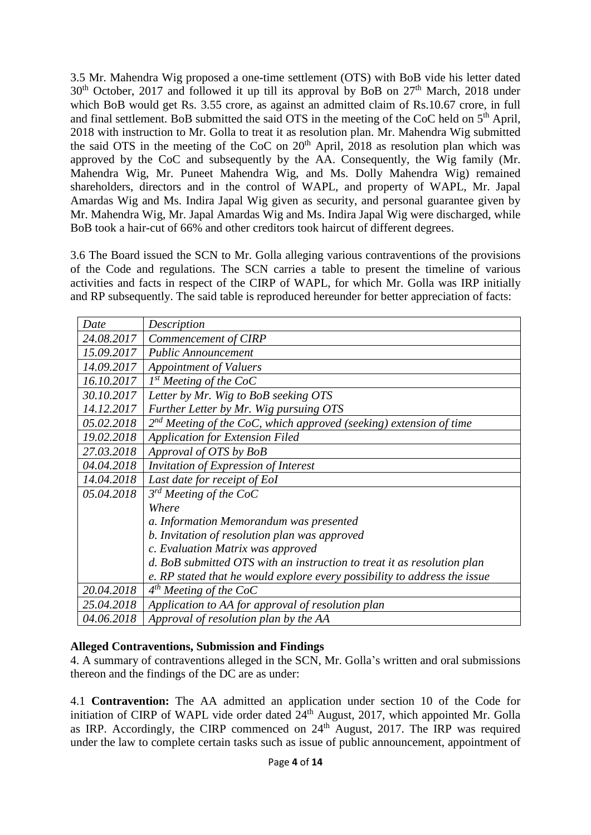3.5 Mr. Mahendra Wig proposed a one-time settlement (OTS) with BoB vide his letter dated  $30<sup>th</sup>$  October, 2017 and followed it up till its approval by BoB on  $27<sup>th</sup>$  March, 2018 under which BoB would get Rs. 3.55 crore, as against an admitted claim of Rs.10.67 crore, in full and final settlement. BoB submitted the said OTS in the meeting of the CoC held on 5<sup>th</sup> April, 2018 with instruction to Mr. Golla to treat it as resolution plan. Mr. Mahendra Wig submitted the said OTS in the meeting of the CoC on  $20<sup>th</sup>$  April, 2018 as resolution plan which was approved by the CoC and subsequently by the AA. Consequently, the Wig family (Mr. Mahendra Wig, Mr. Puneet Mahendra Wig, and Ms. Dolly Mahendra Wig) remained shareholders, directors and in the control of WAPL, and property of WAPL, Mr. Japal Amardas Wig and Ms. Indira Japal Wig given as security, and personal guarantee given by Mr. Mahendra Wig, Mr. Japal Amardas Wig and Ms. Indira Japal Wig were discharged, while BoB took a hair-cut of 66% and other creditors took haircut of different degrees.

3.6 The Board issued the SCN to Mr. Golla alleging various contraventions of the provisions of the Code and regulations. The SCN carries a table to present the timeline of various activities and facts in respect of the CIRP of WAPL, for which Mr. Golla was IRP initially and RP subsequently. The said table is reproduced hereunder for better appreciation of facts:

| Date       | Description                                                               |
|------------|---------------------------------------------------------------------------|
| 24.08.2017 | Commencement of CIRP                                                      |
| 15.09.2017 | <b>Public Announcement</b>                                                |
| 14.09.2017 | <b>Appointment of Valuers</b>                                             |
| 16.10.2017 | $1^{st}$ Meeting of the CoC                                               |
| 30.10.2017 | Letter by Mr. Wig to BoB seeking OTS                                      |
| 14.12.2017 | Further Letter by Mr. Wig pursuing OTS                                    |
| 05.02.2018 | $2nd$ Meeting of the CoC, which approved (seeking) extension of time      |
| 19.02.2018 | <b>Application for Extension Filed</b>                                    |
| 27.03.2018 | Approval of OTS by BoB                                                    |
| 04.04.2018 | Invitation of Expression of Interest                                      |
| 14.04.2018 | Last date for receipt of EoI                                              |
| 05.04.2018 | $3^{rd}$ Meeting of the CoC                                               |
|            | Where                                                                     |
|            | a. Information Memorandum was presented                                   |
|            | b. Invitation of resolution plan was approved                             |
|            | c. Evaluation Matrix was approved                                         |
|            | d. BoB submitted OTS with an instruction to treat it as resolution plan   |
|            | e. RP stated that he would explore every possibility to address the issue |
| 20.04.2018 | $4th$ Meeting of the CoC                                                  |
| 25.04.2018 | Application to AA for approval of resolution plan                         |
| 04.06.2018 | Approval of resolution plan by the AA                                     |

# **Alleged Contraventions, Submission and Findings**

4. A summary of contraventions alleged in the SCN, Mr. Golla's written and oral submissions thereon and the findings of the DC are as under:

4.1 **Contravention:** The AA admitted an application under section 10 of the Code for initiation of CIRP of WAPL vide order dated 24<sup>th</sup> August, 2017, which appointed Mr. Golla as IRP. Accordingly, the CIRP commenced on  $24<sup>th</sup>$  August, 2017. The IRP was required under the law to complete certain tasks such as issue of public announcement, appointment of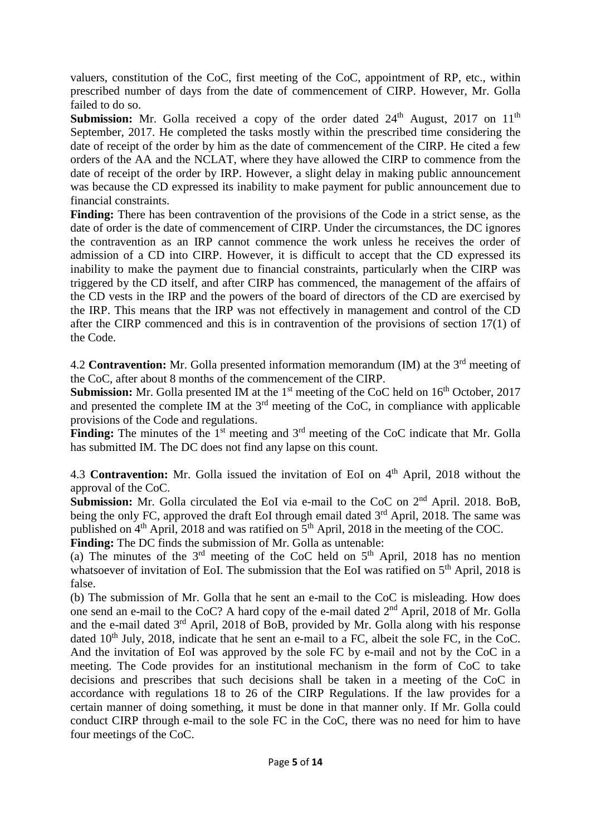valuers, constitution of the CoC, first meeting of the CoC, appointment of RP, etc., within prescribed number of days from the date of commencement of CIRP. However, Mr. Golla failed to do so.

**Submission:** Mr. Golla received a copy of the order dated 24<sup>th</sup> August, 2017 on 11<sup>th</sup> September, 2017. He completed the tasks mostly within the prescribed time considering the date of receipt of the order by him as the date of commencement of the CIRP. He cited a few orders of the AA and the NCLAT, where they have allowed the CIRP to commence from the date of receipt of the order by IRP. However, a slight delay in making public announcement was because the CD expressed its inability to make payment for public announcement due to financial constraints.

Finding: There has been contravention of the provisions of the Code in a strict sense, as the date of order is the date of commencement of CIRP. Under the circumstances, the DC ignores the contravention as an IRP cannot commence the work unless he receives the order of admission of a CD into CIRP. However, it is difficult to accept that the CD expressed its inability to make the payment due to financial constraints, particularly when the CIRP was triggered by the CD itself, and after CIRP has commenced, the management of the affairs of the CD vests in the IRP and the powers of the board of directors of the CD are exercised by the IRP. This means that the IRP was not effectively in management and control of the CD after the CIRP commenced and this is in contravention of the provisions of section 17(1) of the Code.

4.2 **Contravention:** Mr. Golla presented information memorandum (IM) at the 3<sup>rd</sup> meeting of the CoC, after about 8 months of the commencement of the CIRP.

**Submission:** Mr. Golla presented IM at the 1<sup>st</sup> meeting of the CoC held on 16<sup>th</sup> October, 2017 and presented the complete IM at the  $3<sup>rd</sup>$  meeting of the CoC, in compliance with applicable provisions of the Code and regulations.

Finding: The minutes of the 1<sup>st</sup> meeting and 3<sup>rd</sup> meeting of the CoC indicate that Mr. Golla has submitted IM. The DC does not find any lapse on this count.

4.3 **Contravention:** Mr. Golla issued the invitation of EoI on 4<sup>th</sup> April, 2018 without the approval of the CoC.

**Submission:** Mr. Golla circulated the EoI via e-mail to the CoC on 2<sup>nd</sup> April. 2018. BoB, being the only FC, approved the draft EoI through email dated 3<sup>rd</sup> April, 2018. The same was published on  $4<sup>th</sup>$  April, 2018 and was ratified on  $5<sup>th</sup>$  April, 2018 in the meeting of the COC.

**Finding:** The DC finds the submission of Mr. Golla as untenable:

(a) The minutes of the  $3<sup>rd</sup>$  meeting of the CoC held on  $5<sup>th</sup>$  April, 2018 has no mention whatsoever of invitation of EoI. The submission that the EoI was ratified on 5<sup>th</sup> April, 2018 is false.

(b) The submission of Mr. Golla that he sent an e-mail to the CoC is misleading. How does one send an e-mail to the CoC? A hard copy of the e-mail dated 2<sup>nd</sup> April, 2018 of Mr. Golla and the e-mail dated 3<sup>rd</sup> April, 2018 of BoB, provided by Mr. Golla along with his response dated  $10<sup>th</sup>$  July, 2018, indicate that he sent an e-mail to a FC, albeit the sole FC, in the CoC. And the invitation of EoI was approved by the sole FC by e-mail and not by the CoC in a meeting. The Code provides for an institutional mechanism in the form of CoC to take decisions and prescribes that such decisions shall be taken in a meeting of the CoC in accordance with regulations 18 to 26 of the CIRP Regulations. If the law provides for a certain manner of doing something, it must be done in that manner only. If Mr. Golla could conduct CIRP through e-mail to the sole FC in the CoC, there was no need for him to have four meetings of the CoC.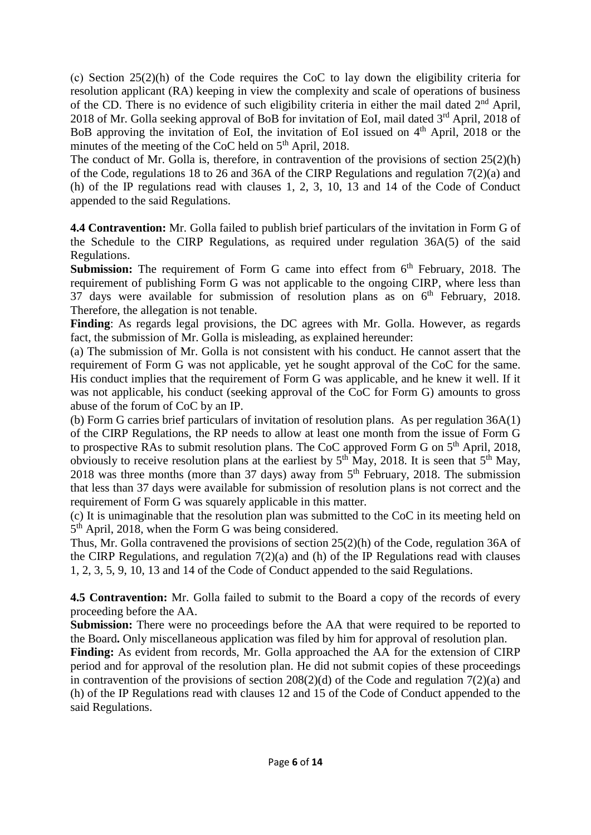(c) Section 25(2)(h) of the Code requires the CoC to lay down the eligibility criteria for resolution applicant (RA) keeping in view the complexity and scale of operations of business of the CD. There is no evidence of such eligibility criteria in either the mail dated  $2<sup>nd</sup>$  April, 2018 of Mr. Golla seeking approval of BoB for invitation of EoI, mail dated  $3<sup>rd</sup>$  April, 2018 of BoB approving the invitation of EoI, the invitation of EoI issued on 4<sup>th</sup> April, 2018 or the minutes of the meeting of the CoC held on 5<sup>th</sup> April, 2018.

The conduct of Mr. Golla is, therefore, in contravention of the provisions of section 25(2)(h) of the Code, regulations 18 to 26 and 36A of the CIRP Regulations and regulation 7(2)(a) and (h) of the IP regulations read with clauses 1, 2, 3, 10, 13 and 14 of the Code of Conduct appended to the said Regulations.

**4.4 Contravention:** Mr. Golla failed to publish brief particulars of the invitation in Form G of the Schedule to the CIRP Regulations, as required under regulation 36A(5) of the said Regulations.

**Submission:** The requirement of Form G came into effect from 6<sup>th</sup> February, 2018. The requirement of publishing Form G was not applicable to the ongoing CIRP, where less than 37 days were available for submission of resolution plans as on  $6<sup>th</sup>$  February, 2018. Therefore, the allegation is not tenable.

**Finding**: As regards legal provisions, the DC agrees with Mr. Golla. However, as regards fact, the submission of Mr. Golla is misleading, as explained hereunder:

(a) The submission of Mr. Golla is not consistent with his conduct. He cannot assert that the requirement of Form G was not applicable, yet he sought approval of the CoC for the same. His conduct implies that the requirement of Form G was applicable, and he knew it well. If it was not applicable, his conduct (seeking approval of the CoC for Form G) amounts to gross abuse of the forum of CoC by an IP.

(b) Form G carries brief particulars of invitation of resolution plans. As per regulation 36A(1) of the CIRP Regulations, the RP needs to allow at least one month from the issue of Form G to prospective RAs to submit resolution plans. The CoC approved Form G on  $5<sup>th</sup>$  April, 2018, obviously to receive resolution plans at the earliest by  $5<sup>th</sup>$  May, 2018. It is seen that  $5<sup>th</sup>$  May, 2018 was three months (more than 37 days) away from  $5<sup>th</sup>$  February, 2018. The submission that less than 37 days were available for submission of resolution plans is not correct and the requirement of Form G was squarely applicable in this matter.

(c) It is unimaginable that the resolution plan was submitted to the CoC in its meeting held on 5<sup>th</sup> April, 2018, when the Form G was being considered.

Thus, Mr. Golla contravened the provisions of section 25(2)(h) of the Code, regulation 36A of the CIRP Regulations, and regulation 7(2)(a) and (h) of the IP Regulations read with clauses 1, 2, 3, 5, 9, 10, 13 and 14 of the Code of Conduct appended to the said Regulations.

**4.5 Contravention:** Mr. Golla failed to submit to the Board a copy of the records of every proceeding before the AA.

**Submission:** There were no proceedings before the AA that were required to be reported to the Board**.** Only miscellaneous application was filed by him for approval of resolution plan.

**Finding:** As evident from records, Mr. Golla approached the AA for the extension of CIRP period and for approval of the resolution plan. He did not submit copies of these proceedings in contravention of the provisions of section  $208(2)(d)$  of the Code and regulation  $7(2)(a)$  and (h) of the IP Regulations read with clauses 12 and 15 of the Code of Conduct appended to the said Regulations.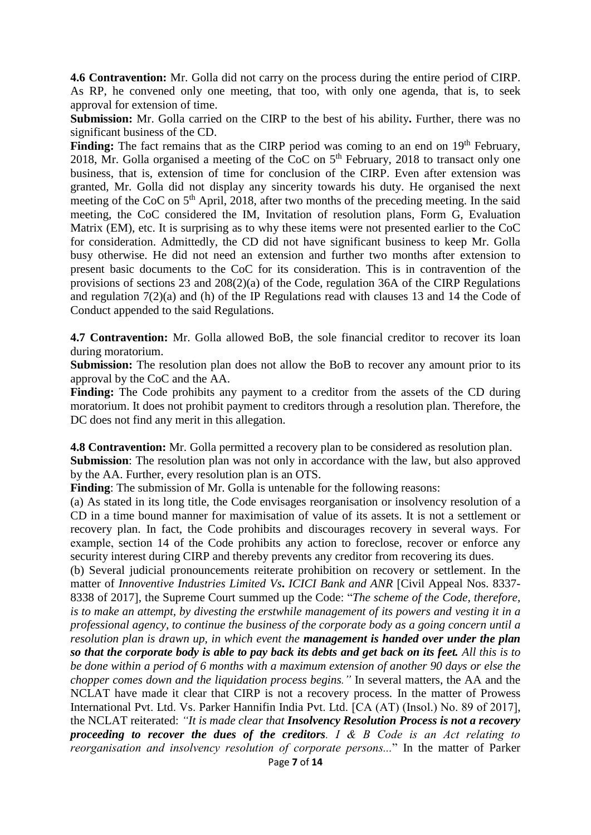**4.6 Contravention:** Mr. Golla did not carry on the process during the entire period of CIRP. As RP, he convened only one meeting, that too, with only one agenda, that is, to seek approval for extension of time.

**Submission:** Mr. Golla carried on the CIRP to the best of his ability**.** Further, there was no significant business of the CD.

Finding: The fact remains that as the CIRP period was coming to an end on 19<sup>th</sup> February, 2018, Mr. Golla organised a meeting of the CoC on  $5<sup>th</sup>$  February, 2018 to transact only one business, that is, extension of time for conclusion of the CIRP. Even after extension was granted, Mr. Golla did not display any sincerity towards his duty. He organised the next meeting of the CoC on 5<sup>th</sup> April, 2018, after two months of the preceding meeting. In the said meeting, the CoC considered the IM, Invitation of resolution plans, Form G, Evaluation Matrix (EM), etc. It is surprising as to why these items were not presented earlier to the CoC for consideration. Admittedly, the CD did not have significant business to keep Mr. Golla busy otherwise. He did not need an extension and further two months after extension to present basic documents to the CoC for its consideration. This is in contravention of the provisions of sections 23 and 208(2)(a) of the Code, regulation 36A of the CIRP Regulations and regulation 7(2)(a) and (h) of the IP Regulations read with clauses 13 and 14 the Code of Conduct appended to the said Regulations.

**4.7 Contravention:** Mr. Golla allowed BoB, the sole financial creditor to recover its loan during moratorium.

**Submission:** The resolution plan does not allow the BoB to recover any amount prior to its approval by the CoC and the AA.

**Finding:** The Code prohibits any payment to a creditor from the assets of the CD during moratorium. It does not prohibit payment to creditors through a resolution plan. Therefore, the DC does not find any merit in this allegation.

**4.8 Contravention:** Mr. Golla permitted a recovery plan to be considered as resolution plan. **Submission**: The resolution plan was not only in accordance with the law, but also approved by the AA. Further, every resolution plan is an OTS.

**Finding**: The submission of Mr. Golla is untenable for the following reasons:

(a) As stated in its long title, the Code envisages reorganisation or insolvency resolution of a CD in a time bound manner for maximisation of value of its assets. It is not a settlement or recovery plan. In fact, the Code prohibits and discourages recovery in several ways. For example, section 14 of the Code prohibits any action to foreclose, recover or enforce any security interest during CIRP and thereby prevents any creditor from recovering its dues.

(b) Several judicial pronouncements reiterate prohibition on recovery or settlement. In the matter of *Innoventive Industries Limited Vs***.** *ICICI Bank and ANR* [Civil Appeal Nos. 8337- 8338 of 2017], the Supreme Court summed up the Code: "*The scheme of the Code, therefore, is to make an attempt, by divesting the erstwhile management of its powers and vesting it in a professional agency, to continue the business of the corporate body as a going concern until a resolution plan is drawn up, in which event the management is handed over under the plan so that the corporate body is able to pay back its debts and get back on its feet. All this is to be done within a period of 6 months with a maximum extension of another 90 days or else the chopper comes down and the liquidation process begins."* In several matters, the AA and the NCLAT have made it clear that CIRP is not a recovery process*.* In the matter of Prowess International Pvt. Ltd. Vs. Parker Hannifin India Pvt. Ltd. [CA (AT) (Insol.) No. 89 of 2017], the NCLAT reiterated: *"It is made clear that Insolvency Resolution Process is not a recovery proceeding to recover the dues of the creditors. I & B Code is an Act relating to reorganisation and insolvency resolution of corporate persons...*" In the matter of Parker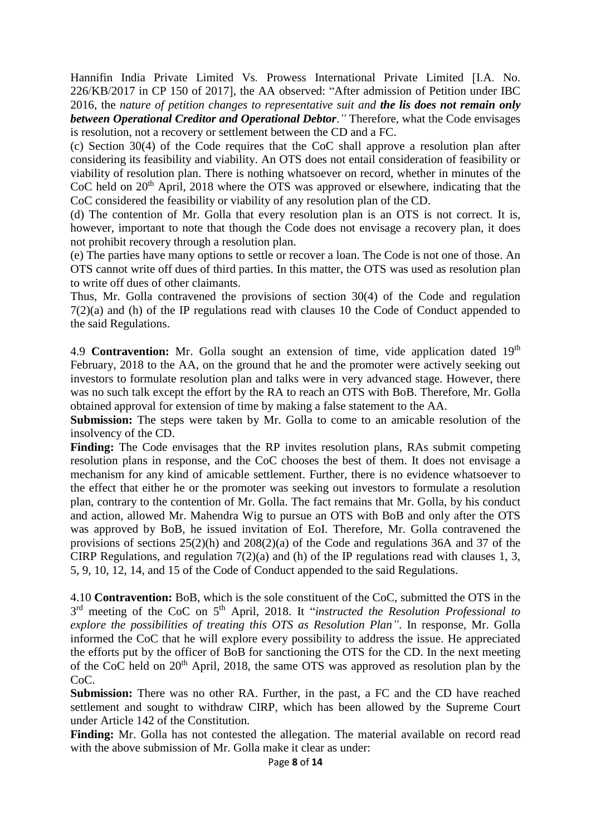Hannifin India Private Limited Vs*.* Prowess International Private Limited [I.A. No. 226/KB/2017 in CP 150 of 2017], the AA observed: "After admission of Petition under IBC 2016, the *nature of petition changes to representative suit and the lis does not remain only between Operational Creditor and Operational Debtor*.*"* Therefore, what the Code envisages is resolution, not a recovery or settlement between the CD and a FC.

(c) Section 30(4) of the Code requires that the CoC shall approve a resolution plan after considering its feasibility and viability. An OTS does not entail consideration of feasibility or viability of resolution plan. There is nothing whatsoever on record, whether in minutes of the CoC held on 20<sup>th</sup> April, 2018 where the OTS was approved or elsewhere, indicating that the CoC considered the feasibility or viability of any resolution plan of the CD.

(d) The contention of Mr. Golla that every resolution plan is an OTS is not correct. It is, however, important to note that though the Code does not envisage a recovery plan, it does not prohibit recovery through a resolution plan.

(e) The parties have many options to settle or recover a loan. The Code is not one of those. An OTS cannot write off dues of third parties. In this matter, the OTS was used as resolution plan to write off dues of other claimants.

Thus, Mr. Golla contravened the provisions of section 30(4) of the Code and regulation 7(2)(a) and (h) of the IP regulations read with clauses 10 the Code of Conduct appended to the said Regulations.

4.9 **Contravention:** Mr. Golla sought an extension of time, vide application dated 19<sup>th</sup> February, 2018 to the AA, on the ground that he and the promoter were actively seeking out investors to formulate resolution plan and talks were in very advanced stage. However, there was no such talk except the effort by the RA to reach an OTS with BoB. Therefore, Mr. Golla obtained approval for extension of time by making a false statement to the AA.

**Submission:** The steps were taken by Mr. Golla to come to an amicable resolution of the insolvency of the CD.

**Finding:** The Code envisages that the RP invites resolution plans, RAs submit competing resolution plans in response, and the CoC chooses the best of them. It does not envisage a mechanism for any kind of amicable settlement. Further, there is no evidence whatsoever to the effect that either he or the promoter was seeking out investors to formulate a resolution plan, contrary to the contention of Mr. Golla. The fact remains that Mr. Golla, by his conduct and action, allowed Mr. Mahendra Wig to pursue an OTS with BoB and only after the OTS was approved by BoB, he issued invitation of EoI. Therefore, Mr. Golla contravened the provisions of sections 25(2)(h) and 208(2)(a) of the Code and regulations 36A and 37 of the CIRP Regulations, and regulation 7(2)(a) and (h) of the IP regulations read with clauses 1, 3, 5, 9, 10, 12, 14, and 15 of the Code of Conduct appended to the said Regulations.

4.10 **Contravention:** BoB, which is the sole constituent of the CoC, submitted the OTS in the 3 rd meeting of the CoC on 5th April, 2018. It "*instructed the Resolution Professional to explore the possibilities of treating this OTS as Resolution Plan"*. In response, Mr. Golla informed the CoC that he will explore every possibility to address the issue. He appreciated the efforts put by the officer of BoB for sanctioning the OTS for the CD. In the next meeting of the CoC held on 20<sup>th</sup> April, 2018, the same OTS was approved as resolution plan by the  $CoC$ 

**Submission:** There was no other RA. Further, in the past, a FC and the CD have reached settlement and sought to withdraw CIRP, which has been allowed by the Supreme Court under Article 142 of the Constitution.

**Finding:** Mr. Golla has not contested the allegation. The material available on record read with the above submission of Mr. Golla make it clear as under: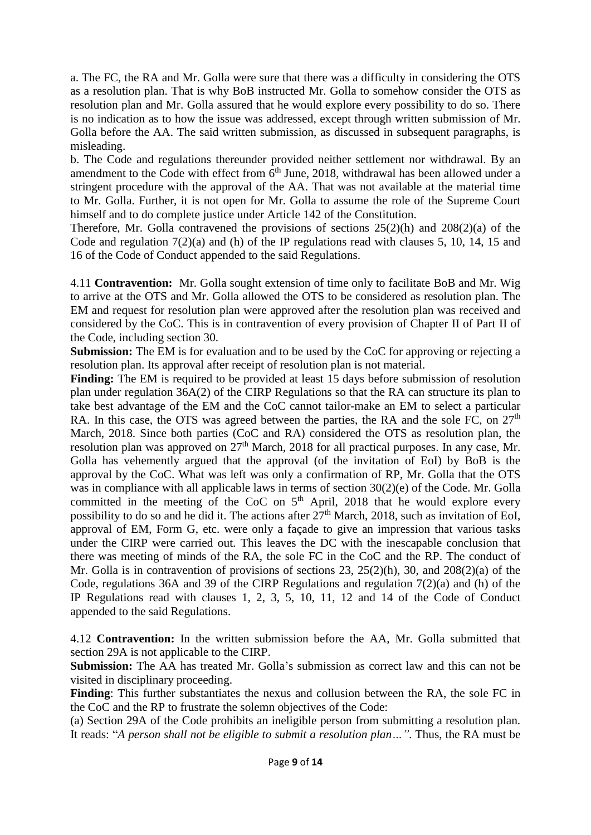a. The FC, the RA and Mr. Golla were sure that there was a difficulty in considering the OTS as a resolution plan. That is why BoB instructed Mr. Golla to somehow consider the OTS as resolution plan and Mr. Golla assured that he would explore every possibility to do so. There is no indication as to how the issue was addressed, except through written submission of Mr. Golla before the AA. The said written submission, as discussed in subsequent paragraphs, is misleading.

b. The Code and regulations thereunder provided neither settlement nor withdrawal. By an amendment to the Code with effect from  $6<sup>th</sup>$  June, 2018, withdrawal has been allowed under a stringent procedure with the approval of the AA. That was not available at the material time to Mr. Golla. Further, it is not open for Mr. Golla to assume the role of the Supreme Court himself and to do complete justice under Article 142 of the Constitution.

Therefore, Mr. Golla contravened the provisions of sections 25(2)(h) and 208(2)(a) of the Code and regulation  $7(2)(a)$  and (h) of the IP regulations read with clauses 5, 10, 14, 15 and 16 of the Code of Conduct appended to the said Regulations.

4.11 **Contravention:** Mr. Golla sought extension of time only to facilitate BoB and Mr. Wig to arrive at the OTS and Mr. Golla allowed the OTS to be considered as resolution plan. The EM and request for resolution plan were approved after the resolution plan was received and considered by the CoC. This is in contravention of every provision of Chapter II of Part II of the Code, including section 30.

**Submission:** The EM is for evaluation and to be used by the CoC for approving or rejecting a resolution plan. Its approval after receipt of resolution plan is not material.

**Finding:** The EM is required to be provided at least 15 days before submission of resolution plan under regulation 36A(2) of the CIRP Regulations so that the RA can structure its plan to take best advantage of the EM and the CoC cannot tailor-make an EM to select a particular RA. In this case, the OTS was agreed between the parties, the RA and the sole FC, on  $27<sup>th</sup>$ March, 2018. Since both parties (CoC and RA) considered the OTS as resolution plan, the resolution plan was approved on  $27<sup>th</sup>$  March, 2018 for all practical purposes. In any case, Mr. Golla has vehemently argued that the approval (of the invitation of EoI) by BoB is the approval by the CoC. What was left was only a confirmation of RP, Mr. Golla that the OTS was in compliance with all applicable laws in terms of section  $30(2)(e)$  of the Code. Mr. Golla committed in the meeting of the CoC on  $5<sup>th</sup>$  April, 2018 that he would explore every possibility to do so and he did it. The actions after  $27<sup>th</sup>$  March, 2018, such as invitation of EoI, approval of EM, Form G, etc. were only a façade to give an impression that various tasks under the CIRP were carried out. This leaves the DC with the inescapable conclusion that there was meeting of minds of the RA, the sole FC in the CoC and the RP. The conduct of Mr. Golla is in contravention of provisions of sections 23,  $25(2)(h)$ , 30, and  $208(2)(a)$  of the Code, regulations 36A and 39 of the CIRP Regulations and regulation 7(2)(a) and (h) of the IP Regulations read with clauses 1, 2, 3, 5, 10, 11, 12 and 14 of the Code of Conduct appended to the said Regulations.

4.12 **Contravention:** In the written submission before the AA, Mr. Golla submitted that section 29A is not applicable to the CIRP.

**Submission:** The AA has treated Mr. Golla's submission as correct law and this can not be visited in disciplinary proceeding.

**Finding**: This further substantiates the nexus and collusion between the RA, the sole FC in the CoC and the RP to frustrate the solemn objectives of the Code:

(a) Section 29A of the Code prohibits an ineligible person from submitting a resolution plan. It reads: "*A person shall not be eligible to submit a resolution plan…".* Thus, the RA must be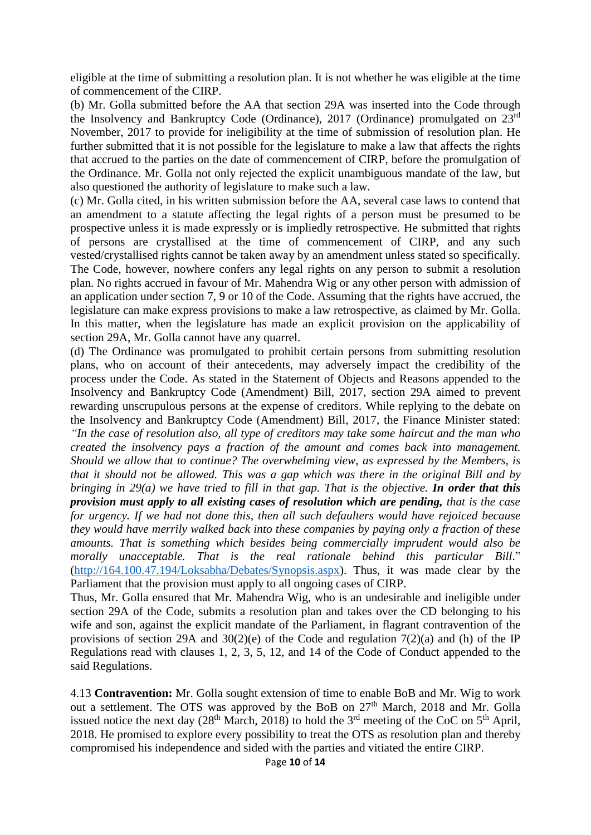eligible at the time of submitting a resolution plan. It is not whether he was eligible at the time of commencement of the CIRP.

(b) Mr. Golla submitted before the AA that section 29A was inserted into the Code through the Insolvency and Bankruptcy Code (Ordinance), 2017 (Ordinance) promulgated on 23rd November, 2017 to provide for ineligibility at the time of submission of resolution plan. He further submitted that it is not possible for the legislature to make a law that affects the rights that accrued to the parties on the date of commencement of CIRP, before the promulgation of the Ordinance. Mr. Golla not only rejected the explicit unambiguous mandate of the law, but also questioned the authority of legislature to make such a law.

(c) Mr. Golla cited, in his written submission before the AA, several case laws to contend that an amendment to a statute affecting the legal rights of a person must be presumed to be prospective unless it is made expressly or is impliedly retrospective. He submitted that rights of persons are crystallised at the time of commencement of CIRP, and any such vested/crystallised rights cannot be taken away by an amendment unless stated so specifically. The Code, however, nowhere confers any legal rights on any person to submit a resolution plan. No rights accrued in favour of Mr. Mahendra Wig or any other person with admission of an application under section 7, 9 or 10 of the Code. Assuming that the rights have accrued, the legislature can make express provisions to make a law retrospective, as claimed by Mr. Golla. In this matter, when the legislature has made an explicit provision on the applicability of section 29A, Mr. Golla cannot have any quarrel.

(d) The Ordinance was promulgated to prohibit certain persons from submitting resolution plans, who on account of their antecedents, may adversely impact the credibility of the process under the Code. As stated in the Statement of Objects and Reasons appended to the Insolvency and Bankruptcy Code (Amendment) Bill, 2017, section 29A aimed to prevent rewarding unscrupulous persons at the expense of creditors. While replying to the debate on the Insolvency and Bankruptcy Code (Amendment) Bill, 2017, the Finance Minister stated: *"In the case of resolution also, all type of creditors may take some haircut and the man who created the insolvency pays a fraction of the amount and comes back into management. Should we allow that to continue? The overwhelming view, as expressed by the Members, is that it should not be allowed. This was a gap which was there in the original Bill and by bringing in 29(a) we have tried to fill in that gap. That is the objective. In order that this provision must apply to all existing cases of resolution which are pending, that is the case for urgency. If we had not done this, then all such defaulters would have rejoiced because they would have merrily walked back into these companies by paying only a fraction of these amounts. That is something which besides being commercially imprudent would also be*  morally unacceptable. That is the real rationale behind this particular Bill." [\(http://164.100.47.194/Loksabha/Debates/Synopsis.aspx\)](http://164.100.47.194/Loksabha/Debates/Synopsis.aspx). Thus, it was made clear by the Parliament that the provision must apply to all ongoing cases of CIRP.

Thus, Mr. Golla ensured that Mr. Mahendra Wig, who is an undesirable and ineligible under section 29A of the Code, submits a resolution plan and takes over the CD belonging to his wife and son, against the explicit mandate of the Parliament, in flagrant contravention of the provisions of section 29A and 30(2)(e) of the Code and regulation 7(2)(a) and (h) of the IP Regulations read with clauses 1, 2, 3, 5, 12, and 14 of the Code of Conduct appended to the said Regulations.

4.13 **Contravention:** Mr. Golla sought extension of time to enable BoB and Mr. Wig to work out a settlement. The OTS was approved by the BoB on 27<sup>th</sup> March, 2018 and Mr. Golla issued notice the next day  $(28<sup>th</sup> March, 2018)$  to hold the  $3<sup>rd</sup>$  meeting of the CoC on  $5<sup>th</sup>$  April, 2018. He promised to explore every possibility to treat the OTS as resolution plan and thereby compromised his independence and sided with the parties and vitiated the entire CIRP.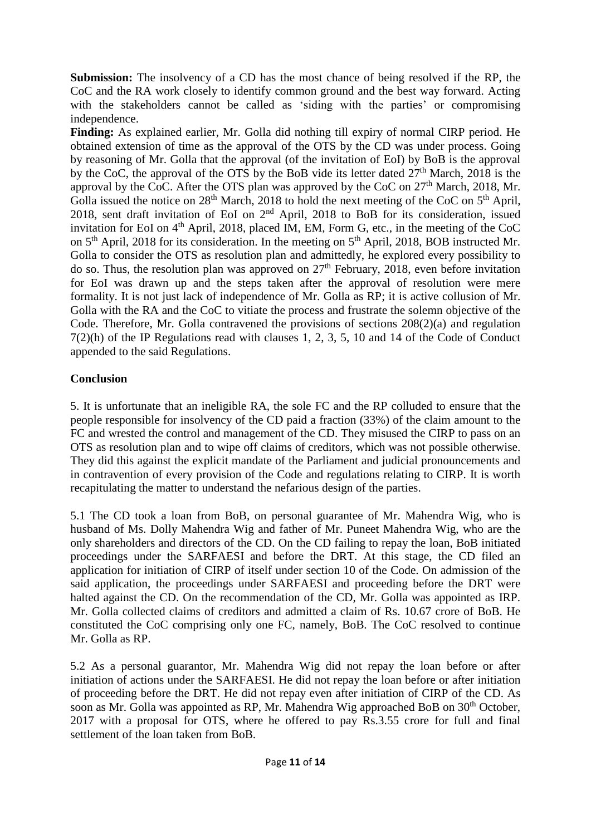**Submission:** The insolvency of a CD has the most chance of being resolved if the RP, the CoC and the RA work closely to identify common ground and the best way forward. Acting with the stakeholders cannot be called as 'siding with the parties' or compromising independence.

**Finding:** As explained earlier, Mr. Golla did nothing till expiry of normal CIRP period. He obtained extension of time as the approval of the OTS by the CD was under process. Going by reasoning of Mr. Golla that the approval (of the invitation of EoI) by BoB is the approval by the CoC, the approval of the OTS by the BoB vide its letter dated 27<sup>th</sup> March, 2018 is the approval by the CoC. After the OTS plan was approved by the CoC on  $27<sup>th</sup>$  March, 2018, Mr. Golla issued the notice on  $28<sup>th</sup>$  March, 2018 to hold the next meeting of the CoC on  $5<sup>th</sup>$  April, 2018, sent draft invitation of EoI on 2nd April, 2018 to BoB for its consideration, issued invitation for EoI on 4<sup>th</sup> April, 2018, placed IM, EM, Form G, etc., in the meeting of the CoC on  $5<sup>th</sup>$  April, 2018 for its consideration. In the meeting on  $5<sup>th</sup>$  April, 2018, BOB instructed Mr. Golla to consider the OTS as resolution plan and admittedly, he explored every possibility to do so. Thus, the resolution plan was approved on  $27<sup>th</sup>$  February, 2018, even before invitation for EoI was drawn up and the steps taken after the approval of resolution were mere formality. It is not just lack of independence of Mr. Golla as RP; it is active collusion of Mr. Golla with the RA and the CoC to vitiate the process and frustrate the solemn objective of the Code. Therefore, Mr. Golla contravened the provisions of sections 208(2)(a) and regulation 7(2)(h) of the IP Regulations read with clauses 1, 2, 3, 5, 10 and 14 of the Code of Conduct appended to the said Regulations.

## **Conclusion**

5. It is unfortunate that an ineligible RA, the sole FC and the RP colluded to ensure that the people responsible for insolvency of the CD paid a fraction (33%) of the claim amount to the FC and wrested the control and management of the CD. They misused the CIRP to pass on an OTS as resolution plan and to wipe off claims of creditors, which was not possible otherwise. They did this against the explicit mandate of the Parliament and judicial pronouncements and in contravention of every provision of the Code and regulations relating to CIRP. It is worth recapitulating the matter to understand the nefarious design of the parties.

5.1 The CD took a loan from BoB, on personal guarantee of Mr. Mahendra Wig, who is husband of Ms. Dolly Mahendra Wig and father of Mr. Puneet Mahendra Wig, who are the only shareholders and directors of the CD. On the CD failing to repay the loan, BoB initiated proceedings under the SARFAESI and before the DRT. At this stage, the CD filed an application for initiation of CIRP of itself under section 10 of the Code. On admission of the said application, the proceedings under SARFAESI and proceeding before the DRT were halted against the CD. On the recommendation of the CD, Mr. Golla was appointed as IRP. Mr. Golla collected claims of creditors and admitted a claim of Rs. 10.67 crore of BoB. He constituted the CoC comprising only one FC, namely, BoB. The CoC resolved to continue Mr. Golla as RP.

5.2 As a personal guarantor, Mr. Mahendra Wig did not repay the loan before or after initiation of actions under the SARFAESI. He did not repay the loan before or after initiation of proceeding before the DRT. He did not repay even after initiation of CIRP of the CD. As soon as Mr. Golla was appointed as RP, Mr. Mahendra Wig approached BoB on 30<sup>th</sup> October, 2017 with a proposal for OTS, where he offered to pay Rs.3.55 crore for full and final settlement of the loan taken from BoB.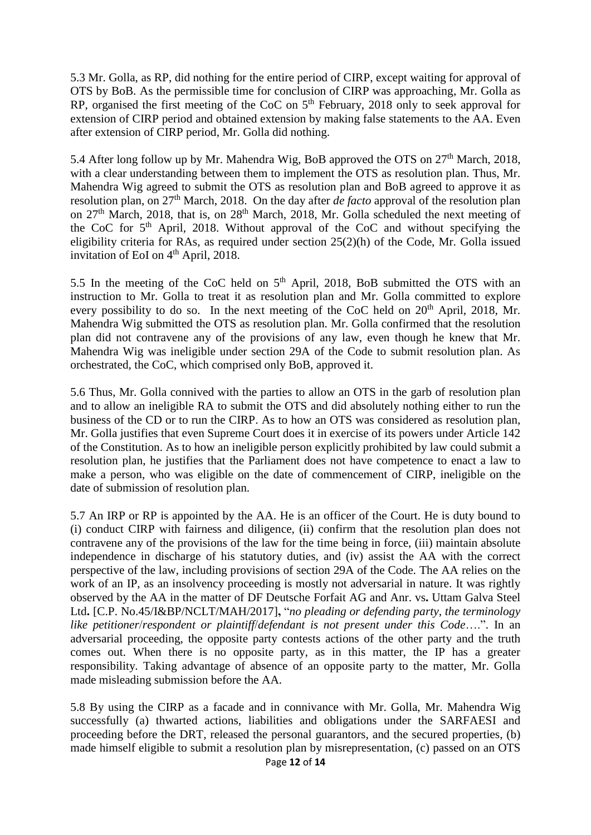5.3 Mr. Golla, as RP, did nothing for the entire period of CIRP, except waiting for approval of OTS by BoB. As the permissible time for conclusion of CIRP was approaching, Mr. Golla as RP, organised the first meeting of the CoC on  $5<sup>th</sup>$  February, 2018 only to seek approval for extension of CIRP period and obtained extension by making false statements to the AA. Even after extension of CIRP period, Mr. Golla did nothing.

5.4 After long follow up by Mr. Mahendra Wig, BoB approved the OTS on  $27<sup>th</sup>$  March, 2018, with a clear understanding between them to implement the OTS as resolution plan. Thus, Mr. Mahendra Wig agreed to submit the OTS as resolution plan and BoB agreed to approve it as resolution plan, on 27<sup>th</sup> March, 2018. On the day after *de facto* approval of the resolution plan on  $27<sup>th</sup>$  March, 2018, that is, on  $28<sup>th</sup>$  March, 2018, Mr. Golla scheduled the next meeting of the CoC for  $5<sup>th</sup>$  April, 2018. Without approval of the CoC and without specifying the eligibility criteria for RAs, as required under section 25(2)(h) of the Code, Mr. Golla issued invitation of EoI on  $4<sup>th</sup>$  April, 2018.

5.5 In the meeting of the CoC held on  $5<sup>th</sup>$  April, 2018, BoB submitted the OTS with an instruction to Mr. Golla to treat it as resolution plan and Mr. Golla committed to explore every possibility to do so. In the next meeting of the CoC held on  $20<sup>th</sup>$  April, 2018, Mr. Mahendra Wig submitted the OTS as resolution plan. Mr. Golla confirmed that the resolution plan did not contravene any of the provisions of any law, even though he knew that Mr. Mahendra Wig was ineligible under section 29A of the Code to submit resolution plan. As orchestrated, the CoC, which comprised only BoB, approved it.

5.6 Thus, Mr. Golla connived with the parties to allow an OTS in the garb of resolution plan and to allow an ineligible RA to submit the OTS and did absolutely nothing either to run the business of the CD or to run the CIRP. As to how an OTS was considered as resolution plan, Mr. Golla justifies that even Supreme Court does it in exercise of its powers under Article 142 of the Constitution. As to how an ineligible person explicitly prohibited by law could submit a resolution plan, he justifies that the Parliament does not have competence to enact a law to make a person, who was eligible on the date of commencement of CIRP, ineligible on the date of submission of resolution plan.

5.7 An IRP or RP is appointed by the AA. He is an officer of the Court. He is duty bound to (i) conduct CIRP with fairness and diligence, (ii) confirm that the resolution plan does not contravene any of the provisions of the law for the time being in force, (iii) maintain absolute independence in discharge of his statutory duties, and (iv) assist the AA with the correct perspective of the law, including provisions of section 29A of the Code. The AA relies on the work of an IP, as an insolvency proceeding is mostly not adversarial in nature. It was rightly observed by the AA in the matter of DF Deutsche Forfait AG and Anr. vs**.** Uttam Galva Steel Ltd**.** [C.P. No.45/I&BP/NCLT/MAH/2017]**,** "*no pleading or defending party, the terminology like petitioner*/*respondent or plaintiff*/*defendant is not present under this Code*….". In an adversarial proceeding, the opposite party contests actions of the other party and the truth comes out. When there is no opposite party, as in this matter, the IP has a greater responsibility. Taking advantage of absence of an opposite party to the matter, Mr. Golla made misleading submission before the AA.

5.8 By using the CIRP as a facade and in connivance with Mr. Golla, Mr. Mahendra Wig successfully (a) thwarted actions, liabilities and obligations under the SARFAESI and proceeding before the DRT, released the personal guarantors, and the secured properties, (b) made himself eligible to submit a resolution plan by misrepresentation, (c) passed on an OTS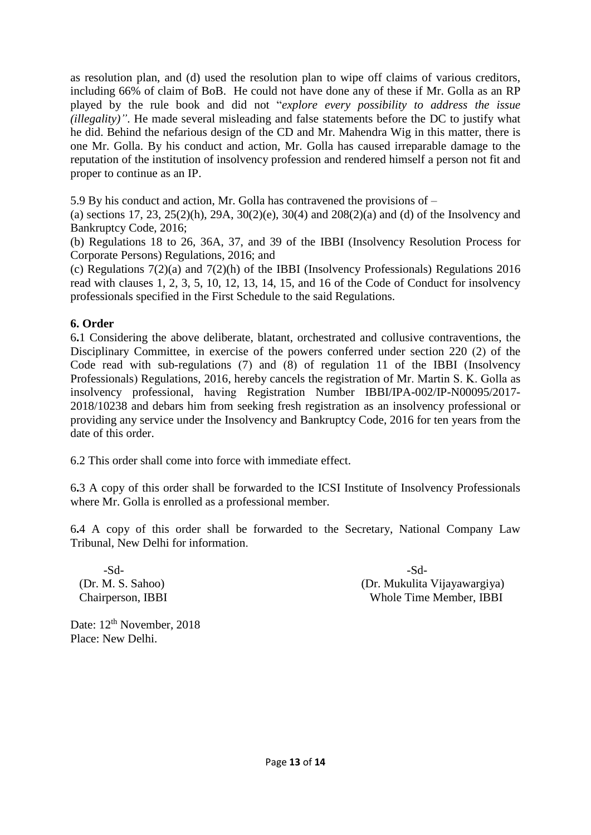as resolution plan, and (d) used the resolution plan to wipe off claims of various creditors, including 66% of claim of BoB. He could not have done any of these if Mr. Golla as an RP played by the rule book and did not "*explore every possibility to address the issue (illegality)"*. He made several misleading and false statements before the DC to justify what he did. Behind the nefarious design of the CD and Mr. Mahendra Wig in this matter, there is one Mr. Golla. By his conduct and action, Mr. Golla has caused irreparable damage to the reputation of the institution of insolvency profession and rendered himself a person not fit and proper to continue as an IP.

5.9 By his conduct and action, Mr. Golla has contravened the provisions of –

(a) sections 17, 23,  $25(2)(h)$ ,  $29A$ ,  $30(2)(e)$ ,  $30(4)$  and  $208(2)(a)$  and (d) of the Insolvency and Bankruptcy Code, 2016;

(b) Regulations 18 to 26, 36A, 37, and 39 of the IBBI (Insolvency Resolution Process for Corporate Persons) Regulations, 2016; and

(c) Regulations  $7(2)(a)$  and  $7(2)(h)$  of the IBBI (Insolvency Professionals) Regulations 2016 read with clauses 1, 2, 3, 5, 10, 12, 13, 14, 15, and 16 of the Code of Conduct for insolvency professionals specified in the First Schedule to the said Regulations.

### **6. Order**

6**.**1 Considering the above deliberate, blatant, orchestrated and collusive contraventions, the Disciplinary Committee, in exercise of the powers conferred under section 220 (2) of the Code read with sub-regulations (7) and (8) of regulation 11 of the IBBI (Insolvency Professionals) Regulations, 2016, hereby cancels the registration of Mr. Martin S. K. Golla as insolvency professional, having Registration Number IBBI/IPA-002/IP-N00095/2017- 2018/10238 and debars him from seeking fresh registration as an insolvency professional or providing any service under the Insolvency and Bankruptcy Code, 2016 for ten years from the date of this order.

6.2 This order shall come into force with immediate effect.

6**.**3 A copy of this order shall be forwarded to the ICSI Institute of Insolvency Professionals where Mr. Golla is enrolled as a professional member.

6**.**4 A copy of this order shall be forwarded to the Secretary, National Company Law Tribunal, New Delhi for information.

-Sd- -Sd-

 (Dr. M. S. Sahoo) (Dr. Mukulita Vijayawargiya) Chairperson, IBBI Whole Time Member, IBBI

Date:  $12<sup>th</sup>$  November, 2018 Place: New Delhi.